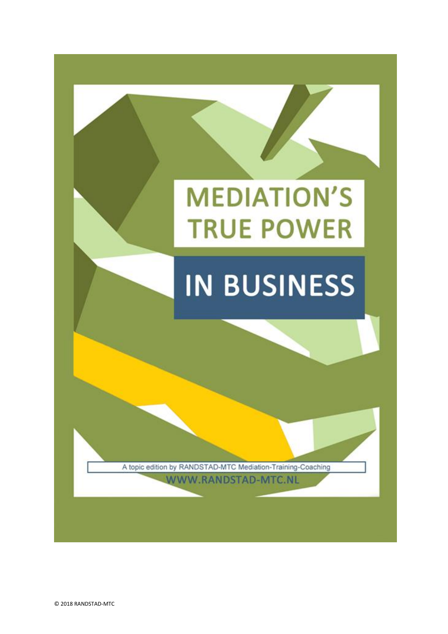

© 2018 RANDSTAD-MTC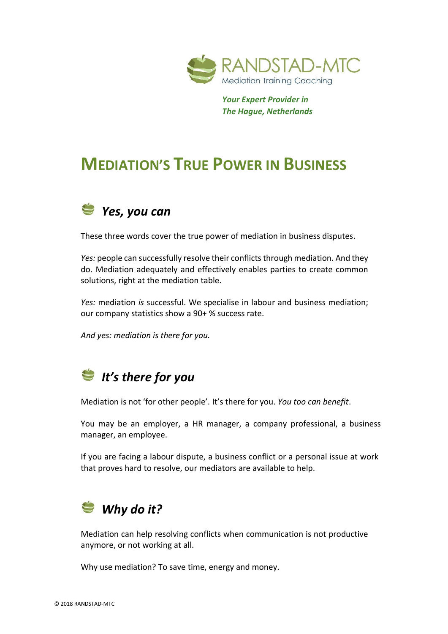

 *Your Expert Provider in The Hague, Netherlands*

# **MEDIATION'S TRUE POWER IN BUSINESS**



These three words cover the true power of mediation in business disputes.

*Yes:* people can successfully resolve their conflicts through mediation. And they do. Mediation adequately and effectively enables parties to create common solutions, right at the mediation table.

*Yes:* mediation *is* successful. We specialise in labour and business mediation; our company statistics show a 90+ % success rate.

*And yes: mediation is there for you.*

### *It's there for you*

Mediation is not 'for other people'. It's there for you. *You too can benefit*.

You may be an employer, a HR manager, a company professional, a business manager, an employee.

If you are facing a labour dispute, a business conflict or a personal issue at work that proves hard to resolve, our mediators are available to help.

#### *Why do it?*

Mediation can help resolving conflicts when communication is not productive anymore, or not working at all.

Why use mediation? To save time, energy and money.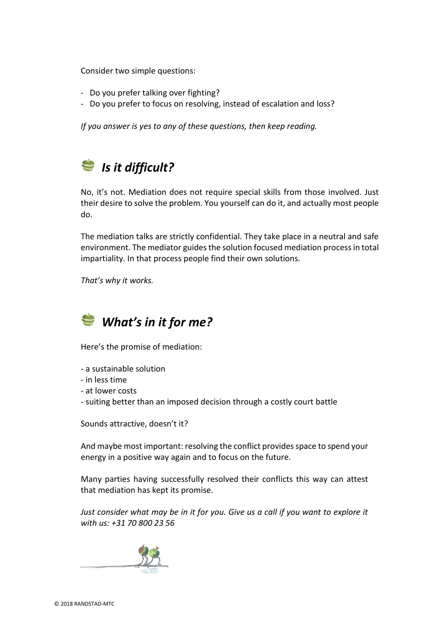Consider two simple questions:

- Do you prefer talking over fighting?
- Do you prefer to focus on resolving, instead of escalation and loss?

*If you answer is yes to any of these questions, then keep reading.*

## *Is it difficult?*

No, it's not. Mediation does not require special skills from those involved. Just their desire to solve the problem. You yourself can do it, and actually most people do.

The mediation talks are strictly confidential. They take place in a neutral and safe environment. The mediator guides the solution focused mediation processin total impartiality. In that process people find their own solutions.

*That's why it works.*



Here's the promise of mediation:

- a sustainable solution
- in less time
- at lower costs
- suiting better than an imposed decision through a costly court battle

Sounds attractive, doesn't it?

And maybe most important: resolving the conflict provides space to spend your energy in a positive way again and to focus on the future.

Many parties having successfully resolved their conflicts this way can attest that mediation has kept its promise.

*Just consider what may be in it for you. Give us a call if you want to explore it with us: +31 70 800 23 56*

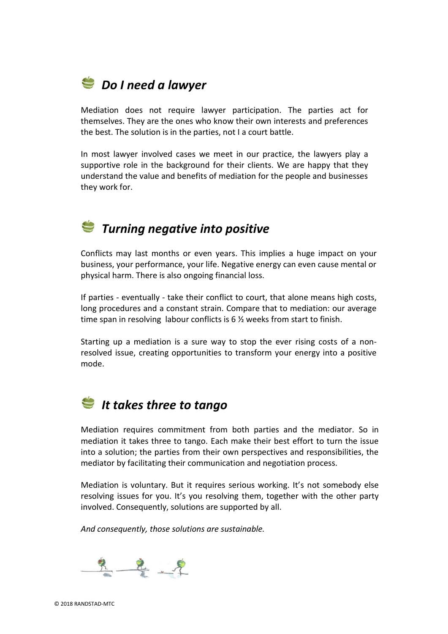#### *Do I need a lawyer*

Mediation does not require lawyer participation. The parties act for themselves. They are the ones who know their own interests and preferences the best. The solution is in the parties, not I a court battle.

In most lawyer involved cases we meet in our practice, the lawyers play a supportive role in the background for their clients. We are happy that they understand the value and benefits of mediation for the people and businesses they work for.

#### *Turning negative into positive*

Conflicts may last months or even years. This implies a huge impact on your business, your performance, your life. Negative energy can even cause mental or physical harm. There is also ongoing financial loss.

If parties - eventually - take their conflict to court, that alone means high costs, long procedures and a constant strain. Compare that to mediation: our average time span in resolving labour conflicts is 6 ½ weeks from start to finish.

Starting up a mediation is a sure way to stop the ever rising costs of a nonresolved issue, creating opportunities to transform your energy into a positive mode.

### *It takes three to tango*

Mediation requires commitment from both parties and the mediator. So in mediation it takes three to tango. Each make their best effort to turn the issue into a solution; the parties from their own perspectives and responsibilities, the mediator by facilitating their communication and negotiation process.

Mediation is voluntary. But it requires serious working. It's not somebody else resolving issues for you. It's you resolving them, together with the other party involved. Consequently, solutions are supported by all.

*And consequently, those solutions are sustainable.*